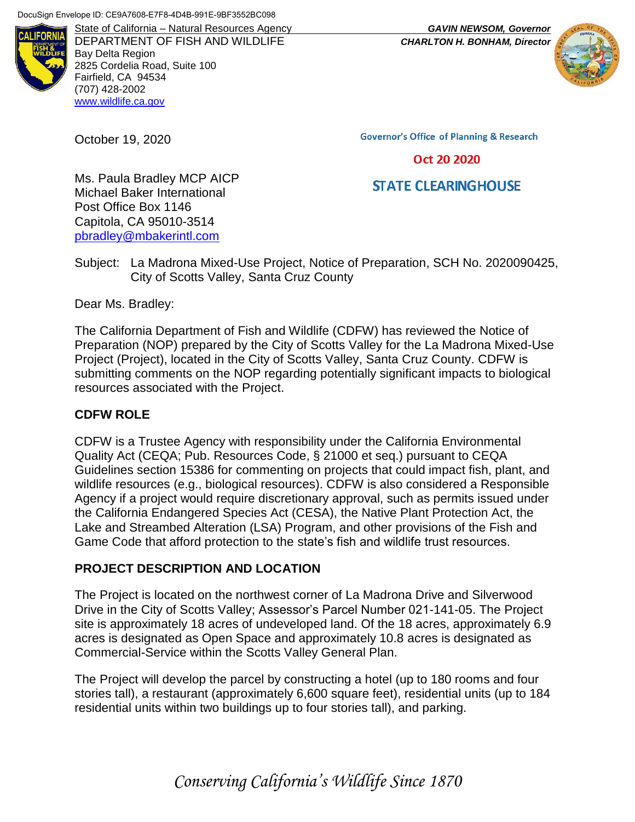

DEPARTMENT OF FISH AND WILDLIFE *CHARLTON H. BONHAM, Director* Bay Delta Region 2825 Cordelia Road, Suite 100 Fairfield, CA 94534 (707) 428-2002 [www.wildlife.ca.gov](http://www.wildlife.ca.gov/)

October 19, 2020

**Governor's Office of Planning & Research** 

## Oct 20 2020

# **STATE CLEARINGHOUSE**

Ms. Paula Bradley MCP AICP Michael Baker International Post Office Box 1146 Capitola, CA 95010-3514 [pbradley@mbakerintl.com](mailto:pbradley@mbakerintl.com)

Subject: La Madrona Mixed-Use Project, Notice of Preparation, SCH No. 2020090425, City of Scotts Valley, Santa Cruz County

Dear Ms. Bradley:

The California Department of Fish and Wildlife (CDFW) has reviewed the Notice of Preparation (NOP) prepared by the City of Scotts Valley for the La Madrona Mixed-Use Project (Project), located in the City of Scotts Valley, Santa Cruz County. CDFW is submitting comments on the NOP regarding potentially significant impacts to biological resources associated with the Project.

## **CDFW ROLE**

CDFW is a Trustee Agency with responsibility under the California Environmental Quality Act (CEQA; Pub. Resources Code, § 21000 et seq.) pursuant to CEQA Guidelines section 15386 for commenting on projects that could impact fish, plant, and wildlife resources (e.g., biological resources). CDFW is also considered a Responsible Agency if a project would require discretionary approval, such as permits issued under the California Endangered Species Act (CESA), the Native Plant Protection Act, the Lake and Streambed Alteration (LSA) Program, and other provisions of the Fish and Game Code that afford protection to the state's fish and wildlife trust resources.

## **PROJECT DESCRIPTION AND LOCATION**

The Project is located on the northwest corner of La Madrona Drive and Silverwood Drive in the City of Scotts Valley; Assessor's Parcel Number 021-141-05. The Project site is approximately 18 acres of undeveloped land. Of the 18 acres, approximately 6.9 acres is designated as Open Space and approximately 10.8 acres is designated as Commercial-Service within the Scotts Valley General Plan.

The Project will develop the parcel by constructing a hotel (up to 180 rooms and four stories tall), a restaurant (approximately 6,600 square feet), residential units (up to 184 residential units within two buildings up to four stories tall), and parking.

*Conserving California's Wildlife Since 1870*

State of California – Natural Resources Agency *GAVIN NEWSOM, Governor*

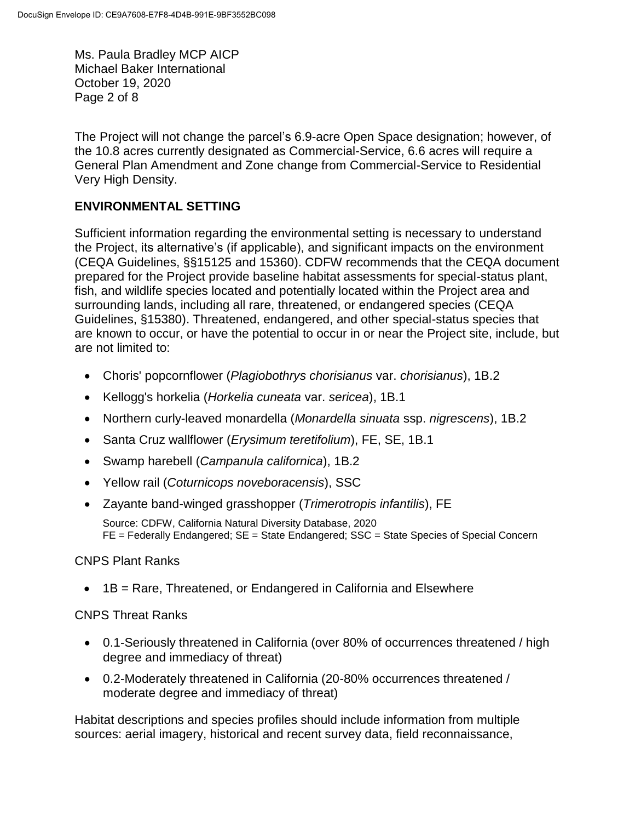Ms. Paula Bradley MCP AICP Michael Baker International October 19, 2020 Page 2 of 8

The Project will not change the parcel's 6.9-acre Open Space designation; however, of the 10.8 acres currently designated as Commercial-Service, 6.6 acres will require a General Plan Amendment and Zone change from Commercial-Service to Residential Very High Density.

## **ENVIRONMENTAL SETTING**

Sufficient information regarding the environmental setting is necessary to understand the Project, its alternative's (if applicable), and significant impacts on the environment (CEQA Guidelines, §§15125 and 15360). CDFW recommends that the CEQA document prepared for the Project provide baseline habitat assessments for special-status plant, fish, and wildlife species located and potentially located within the Project area and surrounding lands, including all rare, threatened, or endangered species (CEQA Guidelines, §15380). Threatened, endangered, and other special-status species that are known to occur, or have the potential to occur in or near the Project site, include, but are not limited to:

- Choris' popcornflower (*Plagiobothrys chorisianus* var. *chorisianus*), 1B.2
- Kellogg's horkelia (*Horkelia cuneata* var. *sericea*), 1B.1
- Northern curly-leaved monardella (*Monardella sinuata* ssp. *nigrescens*), 1B.2
- Santa Cruz wallflower (*Erysimum teretifolium*), FE, SE, 1B.1
- Swamp harebell (*Campanula californica*), 1B.2
- Yellow rail (*Coturnicops noveboracensis*), SSC
- Zayante band-winged grasshopper (*Trimerotropis infantilis*), FE

Source: CDFW, California Natural Diversity Database, 2020 FE = Federally Endangered; SE = State Endangered; SSC = State Species of Special Concern

## CNPS Plant Ranks

• 1B = Rare, Threatened, or Endangered in California and Elsewhere

## CNPS Threat Ranks

- 0.1-Seriously threatened in California (over 80% of occurrences threatened / high degree and immediacy of threat)
- 0.2-Moderately threatened in California (20-80% occurrences threatened / moderate degree and immediacy of threat)

Habitat descriptions and species profiles should include information from multiple sources: aerial imagery, historical and recent survey data, field reconnaissance,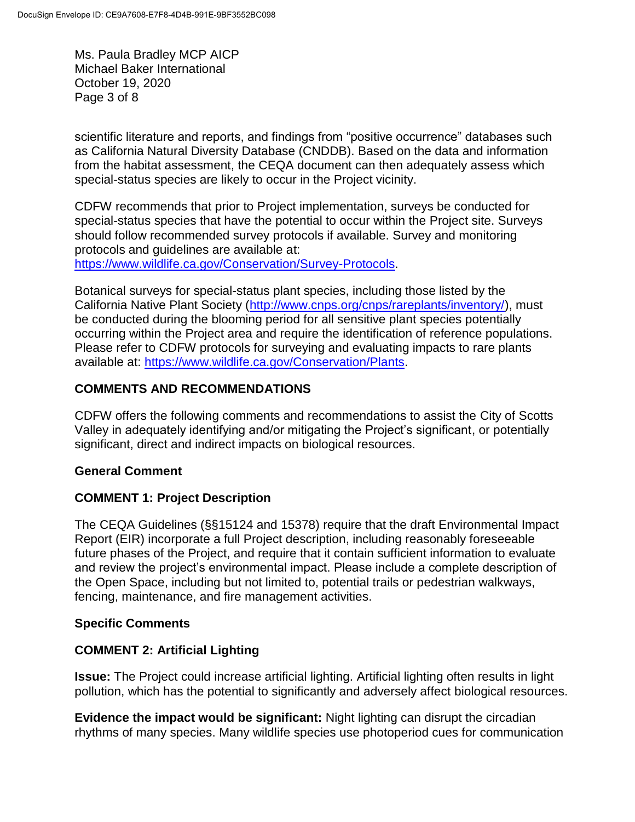Ms. Paula Bradley MCP AICP Michael Baker International October 19, 2020 Page 3 of 8

scientific literature and reports, and findings from "positive occurrence" databases such as California Natural Diversity Database (CNDDB). Based on the data and information from the habitat assessment, the CEQA document can then adequately assess which special-status species are likely to occur in the Project vicinity.

CDFW recommends that prior to Project implementation, surveys be conducted for special-status species that have the potential to occur within the Project site. Surveys should follow recommended survey protocols if available. Survey and monitoring protocols and guidelines are available at:

[https://www.wildlife.ca.gov/Conservation/Survey-Protocols.](https://www.wildlife.ca.gov/Conservation/Survey-Protocols)

Botanical surveys for special-status plant species, including those listed by the California Native Plant Society [\(http://www.cnps.org/cnps/rareplants/inventory/\)](http://www.cnps.org/cnps/rareplants/inventory/), must be conducted during the blooming period for all sensitive plant species potentially occurring within the Project area and require the identification of reference populations. Please refer to CDFW protocols for surveying and evaluating impacts to rare plants available at: [https://www.wildlife.ca.gov/Conservation/Plants.](https://www.wildlife.ca.gov/Conservation/Plants)

## **COMMENTS AND RECOMMENDATIONS**

CDFW offers the following comments and recommendations to assist the City of Scotts Valley in adequately identifying and/or mitigating the Project's significant, or potentially significant, direct and indirect impacts on biological resources.

## **General Comment**

## **COMMENT 1: Project Description**

The CEQA Guidelines (§§15124 and 15378) require that the draft Environmental Impact Report (EIR) incorporate a full Project description, including reasonably foreseeable future phases of the Project, and require that it contain sufficient information to evaluate and review the project's environmental impact. Please include a complete description of the Open Space, including but not limited to, potential trails or pedestrian walkways, fencing, maintenance, and fire management activities.

## **Specific Comments**

## **COMMENT 2: Artificial Lighting**

**Issue:** The Project could increase artificial lighting. Artificial lighting often results in light pollution, which has the potential to significantly and adversely affect biological resources.

**Evidence the impact would be significant:** Night lighting can disrupt the circadian rhythms of many species. Many wildlife species use photoperiod cues for communication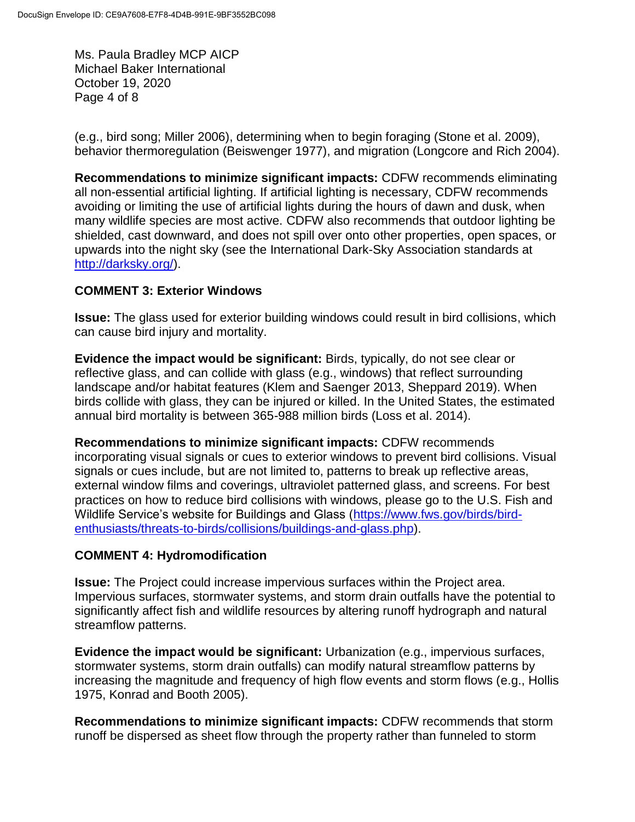Ms. Paula Bradley MCP AICP Michael Baker International October 19, 2020 Page 4 of 8

(e.g., bird song; Miller 2006), determining when to begin foraging (Stone et al. 2009), behavior thermoregulation (Beiswenger 1977), and migration (Longcore and Rich 2004).

**Recommendations to minimize significant impacts:** CDFW recommends eliminating all non-essential artificial lighting. If artificial lighting is necessary, CDFW recommends avoiding or limiting the use of artificial lights during the hours of dawn and dusk, when many wildlife species are most active. CDFW also recommends that outdoor lighting be shielded, cast downward, and does not spill over onto other properties, open spaces, or upwards into the night sky (see the International Dark-Sky Association standards at [http://darksky.org/\)](http://darksky.org/).

## **COMMENT 3: Exterior Windows**

**Issue:** The glass used for exterior building windows could result in bird collisions, which can cause bird injury and mortality.

**Evidence the impact would be significant:** Birds, typically, do not see clear or reflective glass, and can collide with glass (e.g., windows) that reflect surrounding landscape and/or habitat features (Klem and Saenger 2013, Sheppard 2019). When birds collide with glass, they can be injured or killed. In the United States, the estimated annual bird mortality is between 365-988 million birds (Loss et al. 2014).

**Recommendations to minimize significant impacts:** CDFW recommends incorporating visual signals or cues to exterior windows to prevent bird collisions. Visual signals or cues include, but are not limited to, patterns to break up reflective areas, external window films and coverings, ultraviolet patterned glass, and screens. For best practices on how to reduce bird collisions with windows, please go to the U.S. Fish and Wildlife Service's website for Buildings and Glass [\(https://www.fws.gov/birds/bird](https://www.fws.gov/birds/bird-enthusiasts/threats-to-birds/collisions/buildings-and-glass.php)[enthusiasts/threats-to-birds/collisions/buildings-and-glass.php\)](https://www.fws.gov/birds/bird-enthusiasts/threats-to-birds/collisions/buildings-and-glass.php).

## **COMMENT 4: Hydromodification**

**Issue:** The Project could increase impervious surfaces within the Project area. Impervious surfaces, stormwater systems, and storm drain outfalls have the potential to significantly affect fish and wildlife resources by altering runoff hydrograph and natural streamflow patterns.

**Evidence the impact would be significant:** Urbanization (e.g., impervious surfaces, stormwater systems, storm drain outfalls) can modify natural streamflow patterns by increasing the magnitude and frequency of high flow events and storm flows (e.g., Hollis 1975, Konrad and Booth 2005).

**Recommendations to minimize significant impacts:** CDFW recommends that storm runoff be dispersed as sheet flow through the property rather than funneled to storm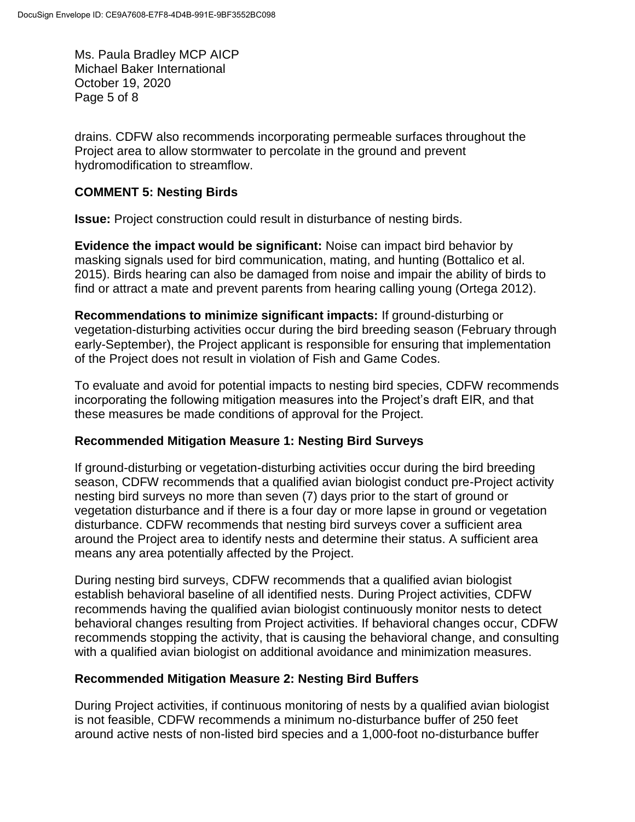Ms. Paula Bradley MCP AICP Michael Baker International October 19, 2020 Page 5 of 8

drains. CDFW also recommends incorporating permeable surfaces throughout the Project area to allow stormwater to percolate in the ground and prevent hydromodification to streamflow.

## **COMMENT 5: Nesting Birds**

**Issue:** Project construction could result in disturbance of nesting birds.

**Evidence the impact would be significant:** Noise can impact bird behavior by masking signals used for bird communication, mating, and hunting (Bottalico et al. 2015). Birds hearing can also be damaged from noise and impair the ability of birds to find or attract a mate and prevent parents from hearing calling young (Ortega 2012).

**Recommendations to minimize significant impacts:** If ground-disturbing or vegetation-disturbing activities occur during the bird breeding season (February through early-September), the Project applicant is responsible for ensuring that implementation of the Project does not result in violation of Fish and Game Codes.

To evaluate and avoid for potential impacts to nesting bird species, CDFW recommends incorporating the following mitigation measures into the Project's draft EIR, and that these measures be made conditions of approval for the Project.

## **Recommended Mitigation Measure 1: Nesting Bird Surveys**

If ground-disturbing or vegetation-disturbing activities occur during the bird breeding season, CDFW recommends that a qualified avian biologist conduct pre-Project activity nesting bird surveys no more than seven (7) days prior to the start of ground or vegetation disturbance and if there is a four day or more lapse in ground or vegetation disturbance. CDFW recommends that nesting bird surveys cover a sufficient area around the Project area to identify nests and determine their status. A sufficient area means any area potentially affected by the Project.

During nesting bird surveys, CDFW recommends that a qualified avian biologist establish behavioral baseline of all identified nests. During Project activities, CDFW recommends having the qualified avian biologist continuously monitor nests to detect behavioral changes resulting from Project activities. If behavioral changes occur, CDFW recommends stopping the activity, that is causing the behavioral change, and consulting with a qualified avian biologist on additional avoidance and minimization measures.

## **Recommended Mitigation Measure 2: Nesting Bird Buffers**

During Project activities, if continuous monitoring of nests by a qualified avian biologist is not feasible, CDFW recommends a minimum no-disturbance buffer of 250 feet around active nests of non-listed bird species and a 1,000-foot no-disturbance buffer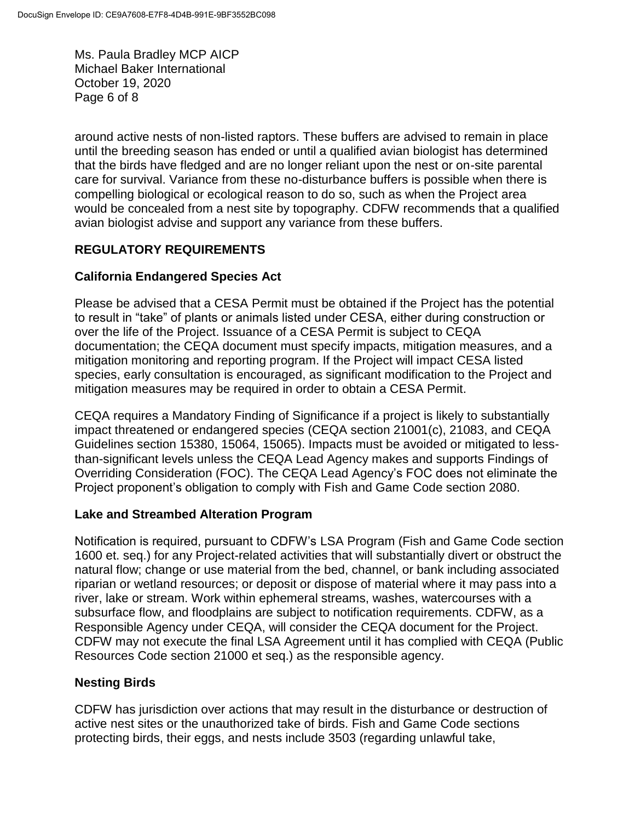Ms. Paula Bradley MCP AICP Michael Baker International October 19, 2020 Page 6 of 8

around active nests of non-listed raptors. These buffers are advised to remain in place until the breeding season has ended or until a qualified avian biologist has determined that the birds have fledged and are no longer reliant upon the nest or on-site parental care for survival. Variance from these no-disturbance buffers is possible when there is compelling biological or ecological reason to do so, such as when the Project area would be concealed from a nest site by topography. CDFW recommends that a qualified avian biologist advise and support any variance from these buffers.

## **REGULATORY REQUIREMENTS**

## **California Endangered Species Act**

Please be advised that a CESA Permit must be obtained if the Project has the potential to result in "take" of plants or animals listed under CESA, either during construction or over the life of the Project. Issuance of a CESA Permit is subject to CEQA documentation; the CEQA document must specify impacts, mitigation measures, and a mitigation monitoring and reporting program. If the Project will impact CESA listed species, early consultation is encouraged, as significant modification to the Project and mitigation measures may be required in order to obtain a CESA Permit.

CEQA requires a Mandatory Finding of Significance if a project is likely to substantially impact threatened or endangered species (CEQA section 21001(c), 21083, and CEQA Guidelines section 15380, 15064, 15065). Impacts must be avoided or mitigated to lessthan-significant levels unless the CEQA Lead Agency makes and supports Findings of Overriding Consideration (FOC). The CEQA Lead Agency's FOC does not eliminate the Project proponent's obligation to comply with Fish and Game Code section 2080.

## **Lake and Streambed Alteration Program**

Notification is required, pursuant to CDFW's LSA Program (Fish and Game Code section 1600 et. seq.) for any Project-related activities that will substantially divert or obstruct the natural flow; change or use material from the bed, channel, or bank including associated riparian or wetland resources; or deposit or dispose of material where it may pass into a river, lake or stream. Work within ephemeral streams, washes, watercourses with a subsurface flow, and floodplains are subject to notification requirements. CDFW, as a Responsible Agency under CEQA, will consider the CEQA document for the Project. CDFW may not execute the final LSA Agreement until it has complied with CEQA (Public Resources Code section 21000 et seq.) as the responsible agency.

## **Nesting Birds**

CDFW has jurisdiction over actions that may result in the disturbance or destruction of active nest sites or the unauthorized take of birds. Fish and Game Code sections protecting birds, their eggs, and nests include 3503 (regarding unlawful take,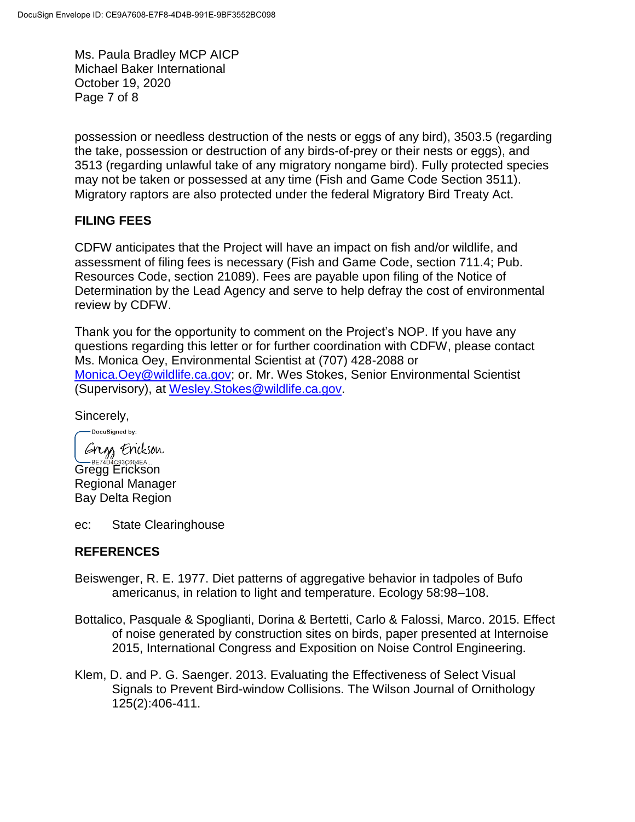Ms. Paula Bradley MCP AICP Michael Baker International October 19, 2020 Page 7 of 8

possession or needless destruction of the nests or eggs of any bird), 3503.5 (regarding the take, possession or destruction of any birds-of-prey or their nests or eggs), and 3513 (regarding unlawful take of any migratory nongame bird). Fully protected species may not be taken or possessed at any time (Fish and Game Code Section 3511). Migratory raptors are also protected under the federal Migratory Bird Treaty Act.

#### **FILING FEES**

CDFW anticipates that the Project will have an impact on fish and/or wildlife, and assessment of filing fees is necessary (Fish and Game Code, section 711.4; Pub. Resources Code, section 21089). Fees are payable upon filing of the Notice of Determination by the Lead Agency and serve to help defray the cost of environmental review by CDFW.

Thank you for the opportunity to comment on the Project's NOP. If you have any questions regarding this letter or for further coordination with CDFW, please contact Ms. Monica Oey, Environmental Scientist at (707) 428-2088 or [Monica.Oey@wildlife.ca.gov;](mailto:Monica.Oey@wildlife.ca.gov) or. Mr. Wes Stokes, Senior Environmental Scientist (Supervisory), at [Wesley.Stokes@wildlife.ca.gov.](mailto:Wesley.Stokes@wildlife.ca.gov)

Sincerely,

-DocuSianed by: Gregs Erickson Gregg Erickson)<br>Gregg Erickson Regional Manager Bay Delta Region

ec: State Clearinghouse

#### **REFERENCES**

- Beiswenger, R. E. 1977. Diet patterns of aggregative behavior in tadpoles of Bufo americanus, in relation to light and temperature. Ecology 58:98–108.
- Bottalico, Pasquale & Spoglianti, Dorina & Bertetti, Carlo & Falossi, Marco. 2015. Effect of noise generated by construction sites on birds, paper presented at Internoise 2015, International Congress and Exposition on Noise Control Engineering.
- Klem, D. and P. G. Saenger. 2013. Evaluating the Effectiveness of Select Visual Signals to Prevent Bird-window Collisions. The Wilson Journal of Ornithology 125(2):406-411.